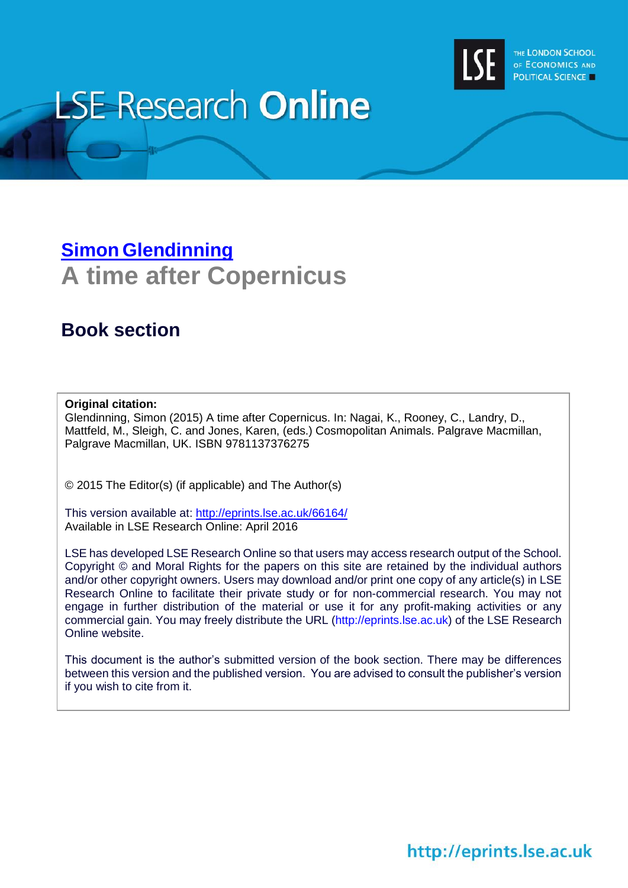

# **LSE Research Online**

# **Simon [Glendinning](http://www.lse.ac.uk/researchAndExpertise/Experts/profile.aspx?KeyValue=s.glendinning@lse.ac.uk) A time after Copernicus**

# **Book section**

## **Original citation:**

Glendinning, Simon (2015) A time after Copernicus. In: Nagai, K., Rooney, C., Landry, D., Mattfeld, M., Sleigh, C. and Jones, Karen, (eds.) Cosmopolitan Animals. Palgrave Macmillan, Palgrave Macmillan, UK. ISBN 9781137376275

© 2015 The Editor(s) (if applicable) and The Author(s)

This version available at:<http://eprints.lse.ac.uk/66164/> Available in LSE Research Online: April 2016

LSE has developed LSE Research Online so that users may access research output of the School. Copyright © and Moral Rights for the papers on this site are retained by the individual authors and/or other copyright owners. Users may download and/or print one copy of any article(s) in LSE Research Online to facilitate their private study or for non-commercial research. You may not engage in further distribution of the material or use it for any profit-making activities or any commercial gain. You may freely distribute the URL (http://eprints.lse.ac.uk) of the LSE Research Online website.

This document is the author's submitted version of the book section. There may be differences between this version and the published version. You are advised to consult the publisher's version if you wish to cite from it.

http://eprints.lse.ac.uk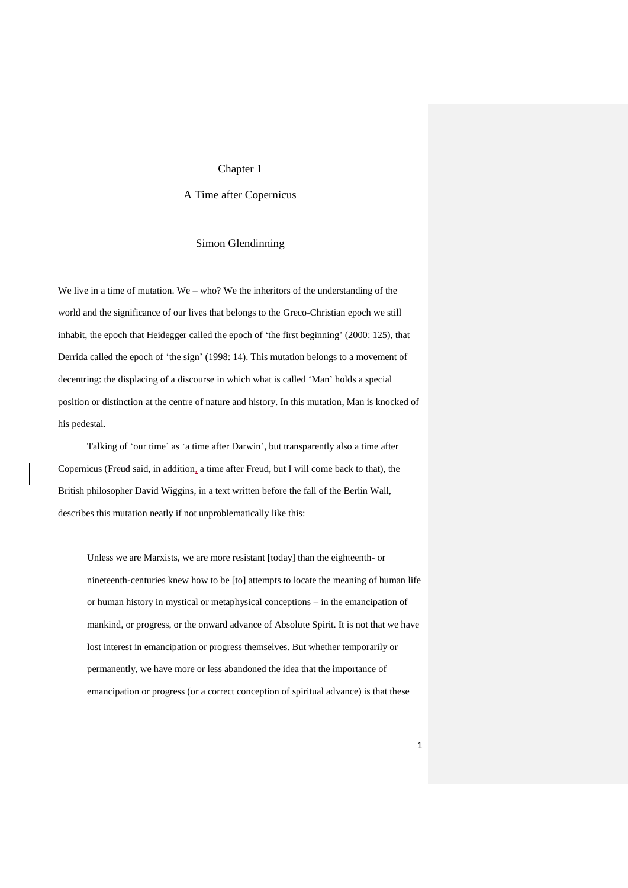#### Chapter 1

## A Time after Copernicus

## Simon Glendinning

We live in a time of mutation. We – who? We the inheritors of the understanding of the world and the significance of our lives that belongs to the Greco-Christian epoch we still inhabit, the epoch that Heidegger called the epoch of 'the first beginning' (2000: 125), that Derrida called the epoch of 'the sign' (1998: 14). This mutation belongs to a movement of decentring: the displacing of a discourse in which what is called 'Man' holds a special position or distinction at the centre of nature and history. In this mutation, Man is knocked of his pedestal.

Talking of 'our time' as 'a time after Darwin', but transparently also a time after Copernicus (Freud said, in addition, a time after Freud, but I will come back to that), the British philosopher David Wiggins, in a text written before the fall of the Berlin Wall, describes this mutation neatly if not unproblematically like this:

Unless we are Marxists, we are more resistant [today] than the eighteenth- or nineteenth-centuries knew how to be [to] attempts to locate the meaning of human life or human history in mystical or metaphysical conceptions – in the emancipation of mankind, or progress, or the onward advance of Absolute Spirit. It is not that we have lost interest in emancipation or progress themselves. But whether temporarily or permanently, we have more or less abandoned the idea that the importance of emancipation or progress (or a correct conception of spiritual advance) is that these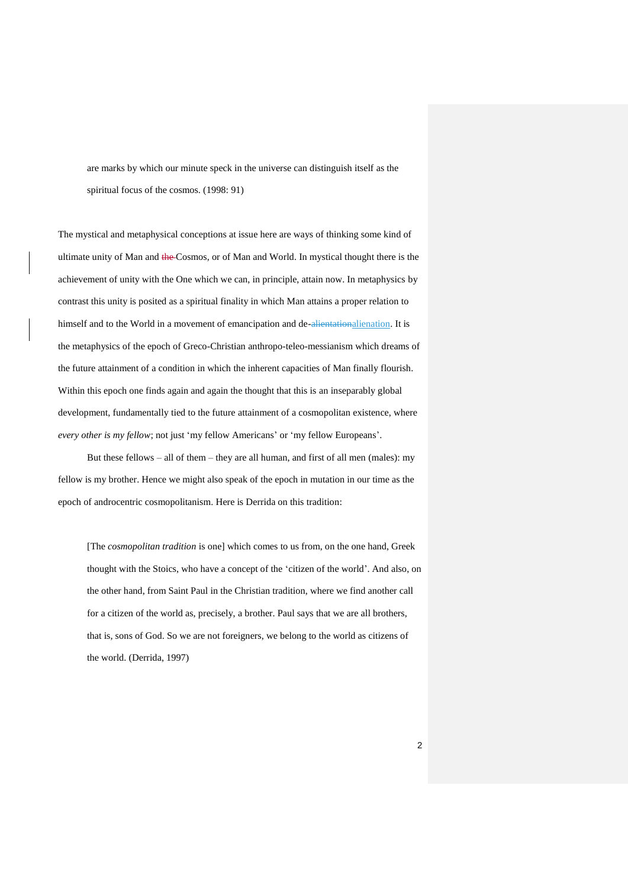are marks by which our minute speck in the universe can distinguish itself as the spiritual focus of the cosmos. (1998: 91)

The mystical and metaphysical conceptions at issue here are ways of thinking some kind of ultimate unity of Man and the Cosmos, or of Man and World. In mystical thought there is the achievement of unity with the One which we can, in principle, attain now. In metaphysics by contrast this unity is posited as a spiritual finality in which Man attains a proper relation to himself and to the World in a movement of emancipation and de-alientationalienation. It is the metaphysics of the epoch of Greco-Christian anthropo-teleo-messianism which dreams of the future attainment of a condition in which the inherent capacities of Man finally flourish. Within this epoch one finds again and again the thought that this is an inseparably global development, fundamentally tied to the future attainment of a cosmopolitan existence, where *every other is my fellow*; not just 'my fellow Americans' or 'my fellow Europeans'.

But these fellows – all of them – they are all human, and first of all men (males): my fellow is my brother. Hence we might also speak of the epoch in mutation in our time as the epoch of androcentric cosmopolitanism. Here is Derrida on this tradition:

[The *cosmopolitan tradition* is one] which comes to us from, on the one hand, Greek thought with the Stoics, who have a concept of the 'citizen of the world'. And also, on the other hand, from Saint Paul in the Christian tradition, where we find another call for a citizen of the world as, precisely, a brother. Paul says that we are all brothers, that is, sons of God. So we are not foreigners, we belong to the world as citizens of the world. (Derrida, 1997)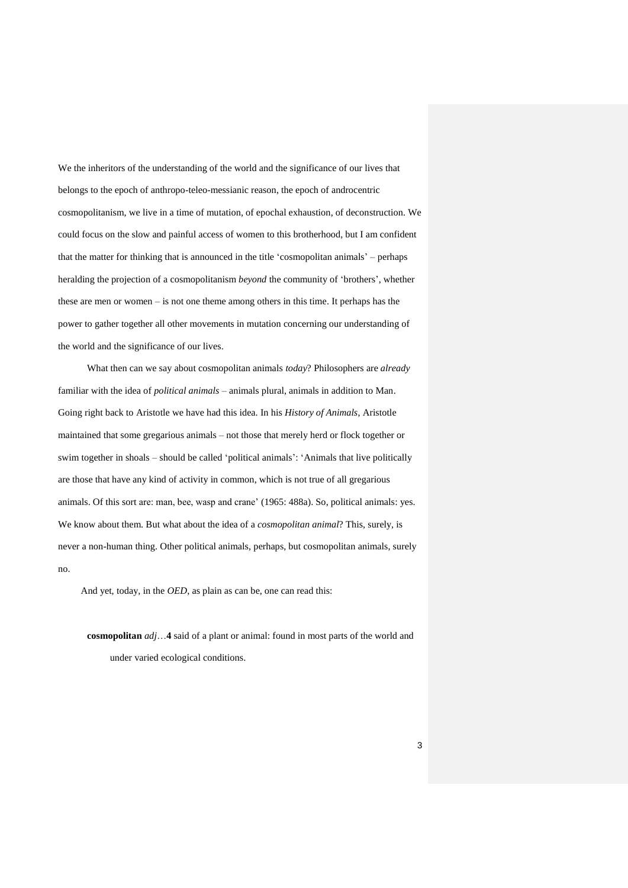We the inheritors of the understanding of the world and the significance of our lives that belongs to the epoch of anthropo-teleo-messianic reason, the epoch of androcentric cosmopolitanism, we live in a time of mutation, of epochal exhaustion, of deconstruction. We could focus on the slow and painful access of women to this brotherhood, but I am confident that the matter for thinking that is announced in the title 'cosmopolitan animals' – perhaps heralding the projection of a cosmopolitanism *beyond* the community of 'brothers', whether these are men or women – is not one theme among others in this time. It perhaps has the power to gather together all other movements in mutation concerning our understanding of the world and the significance of our lives.

What then can we say about cosmopolitan animals *today*? Philosophers are *already* familiar with the idea of *political animals* – animals plural, animals in addition to Man. Going right back to Aristotle we have had this idea. In his *History of Animals*, Aristotle maintained that some gregarious animals – not those that merely herd or flock together or swim together in shoals – should be called 'political animals': 'Animals that live politically are those that have any kind of activity in common, which is not true of all gregarious animals. Of this sort are: man, bee, wasp and crane' (1965: 488a). So, political animals: yes. We know about them. But what about the idea of a *cosmopolitan animal*? This, surely, is never a non-human thing. Other political animals, perhaps, but cosmopolitan animals, surely no.

And yet, today, in the *OED*, as plain as can be, one can read this:

**cosmopolitan** *adj*…**4** said of a plant or animal: found in most parts of the world and under varied ecological conditions.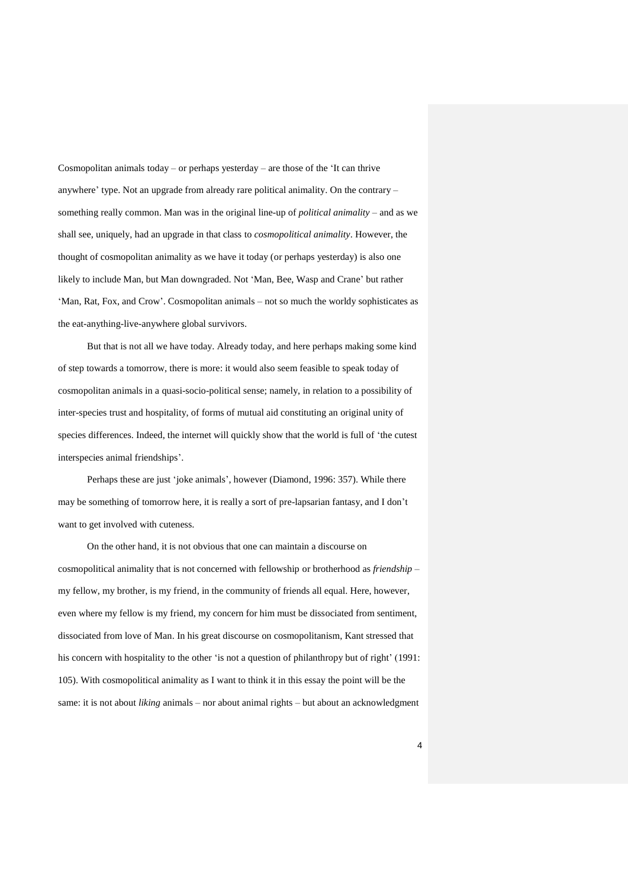Cosmopolitan animals today – or perhaps yesterday – are those of the 'It can thrive anywhere' type. Not an upgrade from already rare political animality. On the contrary – something really common. Man was in the original line-up of *political animality* – and as we shall see, uniquely, had an upgrade in that class to *cosmopolitical animality*. However, the thought of cosmopolitan animality as we have it today (or perhaps yesterday) is also one likely to include Man, but Man downgraded. Not 'Man, Bee, Wasp and Crane' but rather 'Man, Rat, Fox, and Crow'. Cosmopolitan animals – not so much the worldy sophisticates as the eat-anything-live-anywhere global survivors.

But that is not all we have today. Already today, and here perhaps making some kind of step towards a tomorrow, there is more: it would also seem feasible to speak today of cosmopolitan animals in a quasi-socio-political sense; namely, in relation to a possibility of inter-species trust and hospitality, of forms of mutual aid constituting an original unity of species differences. Indeed, the internet will quickly show that the world is full of 'the cutest interspecies animal friendships'.

Perhaps these are just 'joke animals', however (Diamond, 1996: 357). While there may be something of tomorrow here, it is really a sort of pre-lapsarian fantasy, and I don't want to get involved with cuteness.

On the other hand, it is not obvious that one can maintain a discourse on cosmopolitical animality that is not concerned with fellowship or brotherhood as *friendship* – my fellow, my brother, is my friend, in the community of friends all equal. Here, however, even where my fellow is my friend, my concern for him must be dissociated from sentiment, dissociated from love of Man. In his great discourse on cosmopolitanism, Kant stressed that his concern with hospitality to the other 'is not a question of philanthropy but of right' (1991: 105). With cosmopolitical animality as I want to think it in this essay the point will be the same: it is not about *liking* animals – nor about animal rights – but about an acknowledgment

4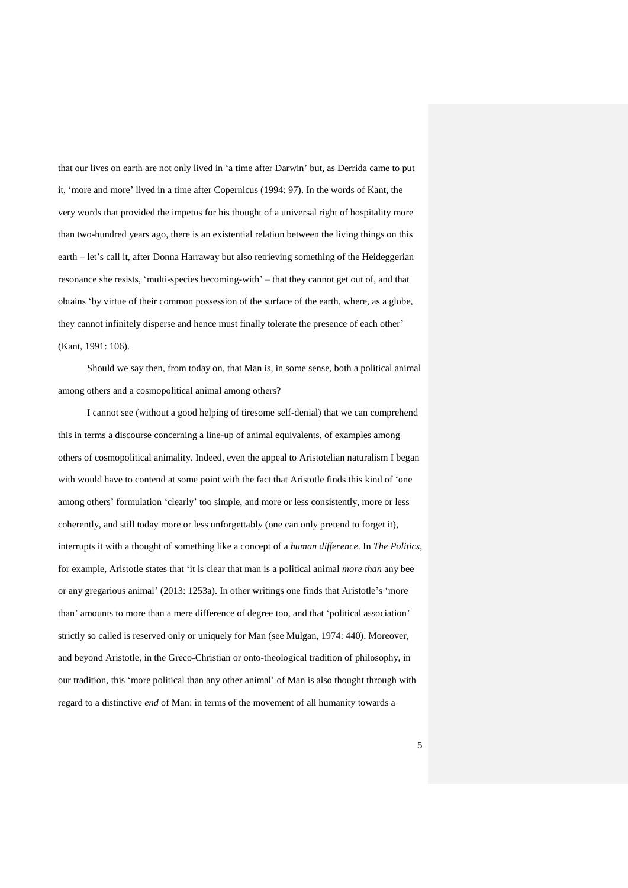that our lives on earth are not only lived in 'a time after Darwin' but, as Derrida came to put it, 'more and more' lived in a time after Copernicus (1994: 97). In the words of Kant, the very words that provided the impetus for his thought of a universal right of hospitality more than two-hundred years ago, there is an existential relation between the living things on this earth – let's call it, after Donna Harraway but also retrieving something of the Heideggerian resonance she resists, 'multi-species becoming-with' – that they cannot get out of, and that obtains 'by virtue of their common possession of the surface of the earth, where, as a globe, they cannot infinitely disperse and hence must finally tolerate the presence of each other' (Kant, 1991: 106).

Should we say then, from today on, that Man is, in some sense, both a political animal among others and a cosmopolitical animal among others?

I cannot see (without a good helping of tiresome self-denial) that we can comprehend this in terms a discourse concerning a line-up of animal equivalents, of examples among others of cosmopolitical animality. Indeed, even the appeal to Aristotelian naturalism I began with would have to contend at some point with the fact that Aristotle finds this kind of 'one among others' formulation 'clearly' too simple, and more or less consistently, more or less coherently, and still today more or less unforgettably (one can only pretend to forget it), interrupts it with a thought of something like a concept of a *human difference*. In *The Politics*, for example, Aristotle states that 'it is clear that man is a political animal *more than* any bee or any gregarious animal' (2013: 1253a). In other writings one finds that Aristotle's 'more than' amounts to more than a mere difference of degree too, and that 'political association' strictly so called is reserved only or uniquely for Man (see Mulgan, 1974: 440). Moreover, and beyond Aristotle, in the Greco-Christian or onto-theological tradition of philosophy, in our tradition, this 'more political than any other animal' of Man is also thought through with regard to a distinctive *end* of Man: in terms of the movement of all humanity towards a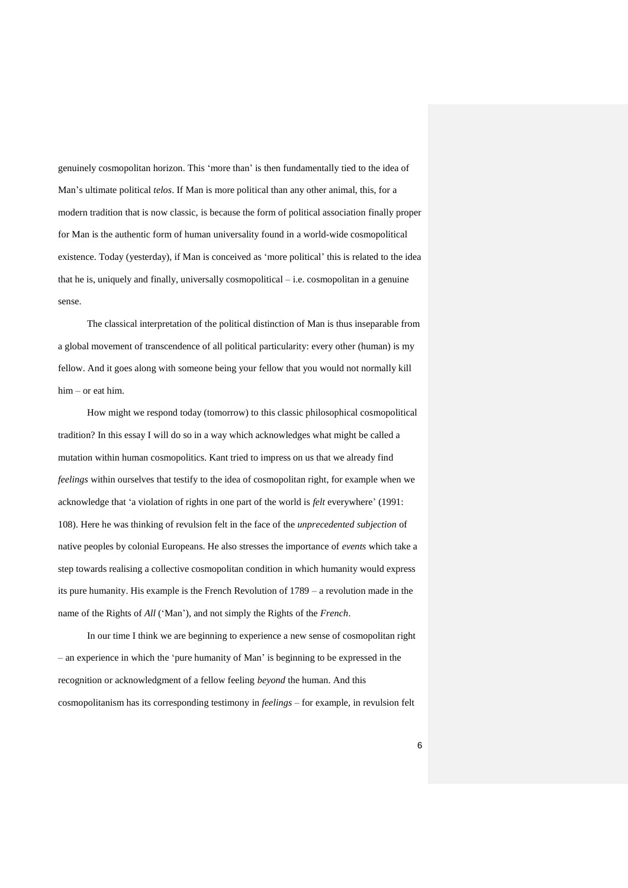genuinely cosmopolitan horizon. This 'more than' is then fundamentally tied to the idea of Man's ultimate political *telos*. If Man is more political than any other animal, this, for a modern tradition that is now classic, is because the form of political association finally proper for Man is the authentic form of human universality found in a world-wide cosmopolitical existence. Today (yesterday), if Man is conceived as 'more political' this is related to the idea that he is, uniquely and finally, universally cosmopolitical – i.e. cosmopolitan in a genuine sense.

The classical interpretation of the political distinction of Man is thus inseparable from a global movement of transcendence of all political particularity: every other (human) is my fellow. And it goes along with someone being your fellow that you would not normally kill him – or eat him.

How might we respond today (tomorrow) to this classic philosophical cosmopolitical tradition? In this essay I will do so in a way which acknowledges what might be called a mutation within human cosmopolitics. Kant tried to impress on us that we already find *feelings* within ourselves that testify to the idea of cosmopolitan right, for example when we acknowledge that 'a violation of rights in one part of the world is *felt* everywhere' (1991: 108). Here he was thinking of revulsion felt in the face of the *unprecedented subjection* of native peoples by colonial Europeans. He also stresses the importance of *events* which take a step towards realising a collective cosmopolitan condition in which humanity would express its pure humanity. His example is the French Revolution of 1789 – a revolution made in the name of the Rights of *All* ('Man'), and not simply the Rights of the *French*.

In our time I think we are beginning to experience a new sense of cosmopolitan right – an experience in which the 'pure humanity of Man' is beginning to be expressed in the recognition or acknowledgment of a fellow feeling *beyond* the human. And this cosmopolitanism has its corresponding testimony in *feelings* – for example, in revulsion felt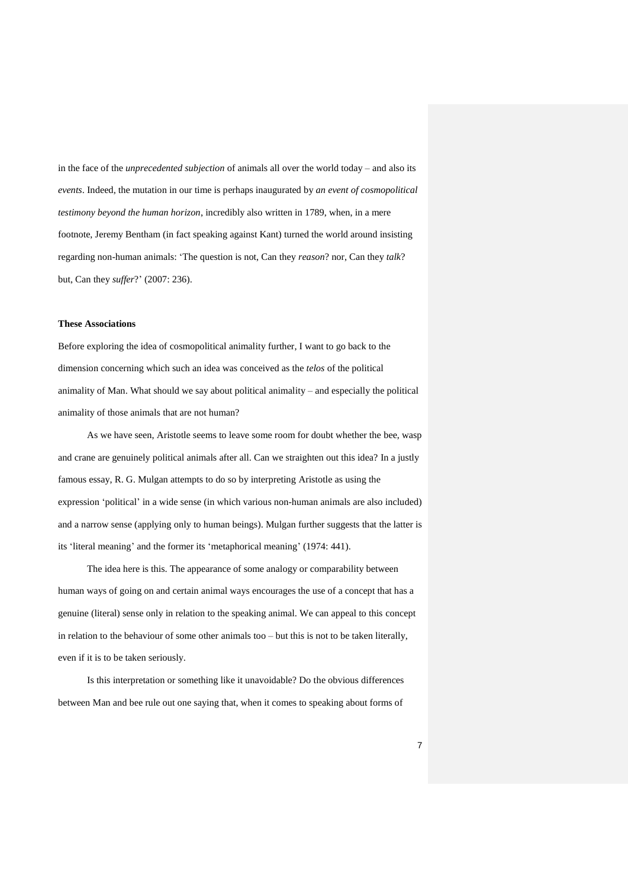in the face of the *unprecedented subjection* of animals all over the world today – and also its *events*. Indeed, the mutation in our time is perhaps inaugurated by *an event of cosmopolitical testimony beyond the human horizon*, incredibly also written in 1789, when, in a mere footnote, Jeremy Bentham (in fact speaking against Kant) turned the world around insisting regarding non-human animals: 'The question is not, Can they *reason*? nor, Can they *talk*? but, Can they *suffer*?' (2007: 236).

#### **These Associations**

Before exploring the idea of cosmopolitical animality further, I want to go back to the dimension concerning which such an idea was conceived as the *telos* of the political animality of Man. What should we say about political animality – and especially the political animality of those animals that are not human?

As we have seen, Aristotle seems to leave some room for doubt whether the bee, wasp and crane are genuinely political animals after all. Can we straighten out this idea? In a justly famous essay, R. G. Mulgan attempts to do so by interpreting Aristotle as using the expression 'political' in a wide sense (in which various non-human animals are also included) and a narrow sense (applying only to human beings). Mulgan further suggests that the latter is its 'literal meaning' and the former its 'metaphorical meaning' (1974: 441).

The idea here is this. The appearance of some analogy or comparability between human ways of going on and certain animal ways encourages the use of a concept that has a genuine (literal) sense only in relation to the speaking animal. We can appeal to this concept in relation to the behaviour of some other animals too  $-$  but this is not to be taken literally, even if it is to be taken seriously.

Is this interpretation or something like it unavoidable? Do the obvious differences between Man and bee rule out one saying that, when it comes to speaking about forms of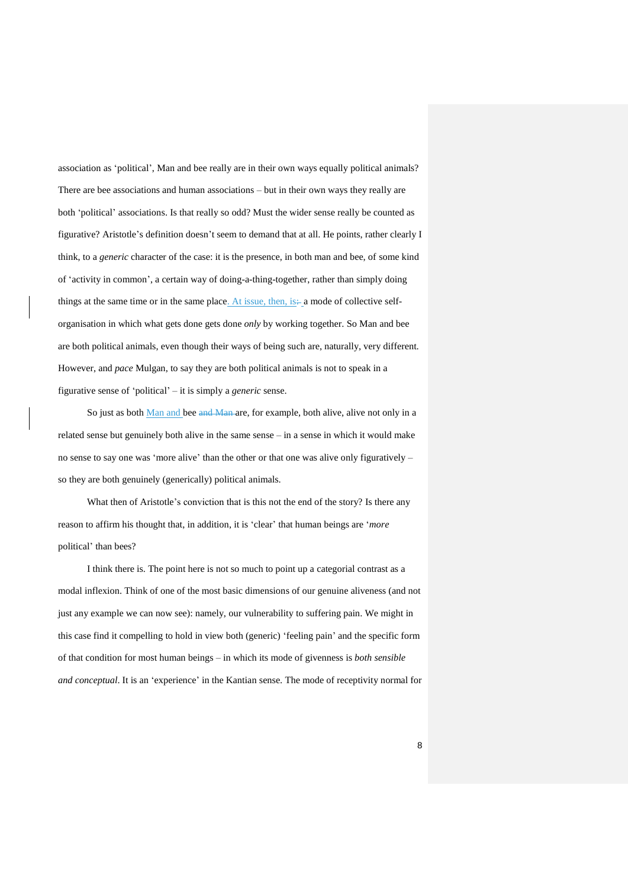association as 'political', Man and bee really are in their own ways equally political animals? There are bee associations and human associations – but in their own ways they really are both 'political' associations. Is that really so odd? Must the wider sense really be counted as figurative? Aristotle's definition doesn't seem to demand that at all. He points, rather clearly I think, to a *generic* character of the case: it is the presence, in both man and bee, of some kind of 'activity in common', a certain way of doing-a-thing-together, rather than simply doing things at the same time or in the same place. At issue, then, is a mode of collective selforganisation in which what gets done gets done *only* by working together. So Man and bee are both political animals, even though their ways of being such are, naturally, very different. However, and *pace* Mulgan, to say they are both political animals is not to speak in a figurative sense of 'political' – it is simply a *generic* sense.

So just as both Man and bee and Man are, for example, both alive, alive not only in a related sense but genuinely both alive in the same sense – in a sense in which it would make no sense to say one was 'more alive' than the other or that one was alive only figuratively – so they are both genuinely (generically) political animals.

What then of Aristotle's conviction that is this not the end of the story? Is there any reason to affirm his thought that, in addition, it is 'clear' that human beings are '*more* political' than bees?

I think there is. The point here is not so much to point up a categorial contrast as a modal inflexion. Think of one of the most basic dimensions of our genuine aliveness (and not just any example we can now see): namely, our vulnerability to suffering pain. We might in this case find it compelling to hold in view both (generic) 'feeling pain' and the specific form of that condition for most human beings – in which its mode of givenness is *both sensible and conceptual*. It is an 'experience' in the Kantian sense. The mode of receptivity normal for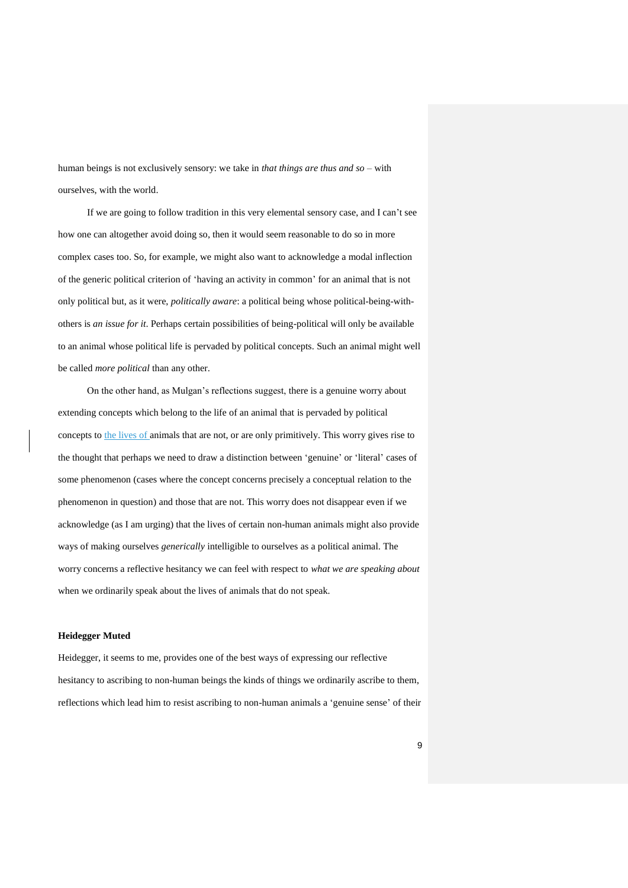human beings is not exclusively sensory: we take in *that things are thus and so* – with ourselves, with the world.

If we are going to follow tradition in this very elemental sensory case, and I can't see how one can altogether avoid doing so, then it would seem reasonable to do so in more complex cases too. So, for example, we might also want to acknowledge a modal inflection of the generic political criterion of 'having an activity in common' for an animal that is not only political but, as it were, *politically aware*: a political being whose political-being-withothers is *an issue for it*. Perhaps certain possibilities of being-political will only be available to an animal whose political life is pervaded by political concepts. Such an animal might well be called *more political* than any other.

On the other hand, as Mulgan's reflections suggest, there is a genuine worry about extending concepts which belong to the life of an animal that is pervaded by political concepts to the lives of animals that are not, or are only primitively. This worry gives rise to the thought that perhaps we need to draw a distinction between 'genuine' or 'literal' cases of some phenomenon (cases where the concept concerns precisely a conceptual relation to the phenomenon in question) and those that are not. This worry does not disappear even if we acknowledge (as I am urging) that the lives of certain non-human animals might also provide ways of making ourselves *generically* intelligible to ourselves as a political animal. The worry concerns a reflective hesitancy we can feel with respect to *what we are speaking about* when we ordinarily speak about the lives of animals that do not speak.

#### **Heidegger Muted**

Heidegger, it seems to me, provides one of the best ways of expressing our reflective hesitancy to ascribing to non-human beings the kinds of things we ordinarily ascribe to them, reflections which lead him to resist ascribing to non-human animals a 'genuine sense' of their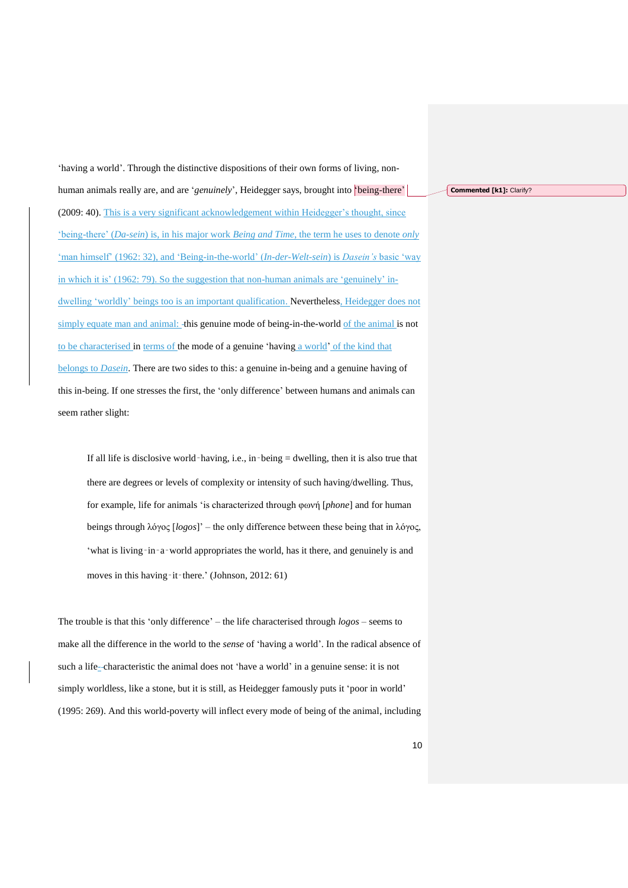'having a world'. Through the distinctive dispositions of their own forms of living, nonhuman animals really are, and are '*genuinely*', Heidegger says, brought into 'being-there' (2009: 40). This is a very significant acknowledgement within Heidegger's thought, since 'being-there' (*Da-sein*) is, in his major work *Being and Time*, the term he uses to denote *only* 'man himself' (1962: 32), and 'Being-in-the-world' (*In-der-Welt-sein*) is *Dasein's* basic 'way in which it is' (1962: 79). So the suggestion that non-human animals are 'genuinely' indwelling 'worldly' beings too is an important qualification. Nevertheless, Heidegger does not simply equate man and animal: -this genuine mode of being-in-the-world of the animal is not to be characterised in terms of the mode of a genuine 'having a world' of the kind that belongs to *Dasein*. There are two sides to this: a genuine in-being and a genuine having of this in-being. If one stresses the first, the 'only difference' between humans and animals can seem rather slight:

If all life is disclosive world–having, i.e., in–being  $=$  dwelling, then it is also true that there are degrees or levels of complexity or intensity of such having/dwelling. Thus, for example, life for animals 'is characterized through φωνή [*phone*] and for human beings through λόγος [*logos*]' – the only difference between these being that in λόγος, 'what is living‑in‑a‑world appropriates the world, has it there, and genuinely is and moves in this having-it-there.' (Johnson, 2012: 61)

The trouble is that this 'only difference' – the life characterised through *logos* – seems to make all the difference in the world to the *sense* of 'having a world'. In the radical absence of such a life- characteristic the animal does not 'have a world' in a genuine sense: it is not simply worldless, like a stone, but it is still, as Heidegger famously puts it 'poor in world' (1995: 269). And this world-poverty will inflect every mode of being of the animal, including **Commented [k1]:** Clarify?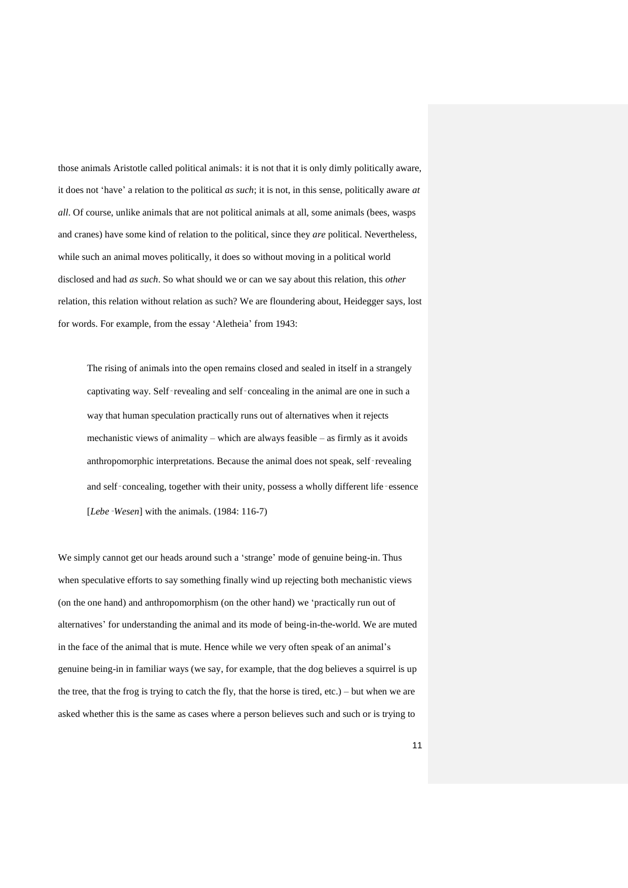those animals Aristotle called political animals: it is not that it is only dimly politically aware, it does not 'have' a relation to the political *as such*; it is not, in this sense, politically aware *at all*. Of course, unlike animals that are not political animals at all, some animals (bees, wasps and cranes) have some kind of relation to the political, since they *are* political. Nevertheless, while such an animal moves politically, it does so without moving in a political world disclosed and had *as such*. So what should we or can we say about this relation, this *other* relation, this relation without relation as such? We are floundering about, Heidegger says, lost for words. For example, from the essay 'Aletheia' from 1943:

The rising of animals into the open remains closed and sealed in itself in a strangely captivating way. Self‑revealing and self‑concealing in the animal are one in such a way that human speculation practically runs out of alternatives when it rejects mechanistic views of animality – which are always feasible – as firmly as it avoids anthropomorphic interpretations. Because the animal does not speak, self‑revealing and self-concealing, together with their unity, possess a wholly different life-essence [*Lebe* - *Wesen*] with the animals. (1984: 116-7)

We simply cannot get our heads around such a 'strange' mode of genuine being-in. Thus when speculative efforts to say something finally wind up rejecting both mechanistic views (on the one hand) and anthropomorphism (on the other hand) we 'practically run out of alternatives' for understanding the animal and its mode of being-in-the-world. We are muted in the face of the animal that is mute. Hence while we very often speak of an animal's genuine being-in in familiar ways (we say, for example, that the dog believes a squirrel is up the tree, that the frog is trying to catch the fly, that the horse is tired, etc.) – but when we are asked whether this is the same as cases where a person believes such and such or is trying to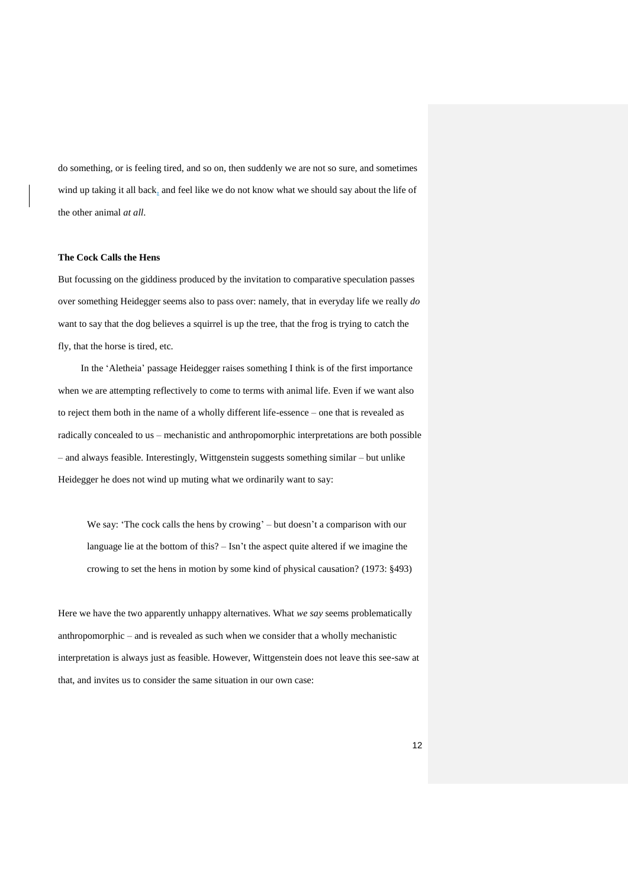do something, or is feeling tired, and so on, then suddenly we are not so sure, and sometimes wind up taking it all back, and feel like we do not know what we should say about the life of the other animal *at all*.

#### **The Cock Calls the Hens**

But focussing on the giddiness produced by the invitation to comparative speculation passes over something Heidegger seems also to pass over: namely, that in everyday life we really *do* want to say that the dog believes a squirrel is up the tree, that the frog is trying to catch the fly, that the horse is tired, etc.

In the 'Aletheia' passage Heidegger raises something I think is of the first importance when we are attempting reflectively to come to terms with animal life. Even if we want also to reject them both in the name of a wholly different life-essence – one that is revealed as radically concealed to us – mechanistic and anthropomorphic interpretations are both possible – and always feasible. Interestingly, Wittgenstein suggests something similar – but unlike Heidegger he does not wind up muting what we ordinarily want to say:

We say: 'The cock calls the hens by crowing' – but doesn't a comparison with our language lie at the bottom of this? – Isn't the aspect quite altered if we imagine the crowing to set the hens in motion by some kind of physical causation? (1973: §493)

Here we have the two apparently unhappy alternatives. What *we say* seems problematically anthropomorphic – and is revealed as such when we consider that a wholly mechanistic interpretation is always just as feasible. However, Wittgenstein does not leave this see-saw at that, and invites us to consider the same situation in our own case: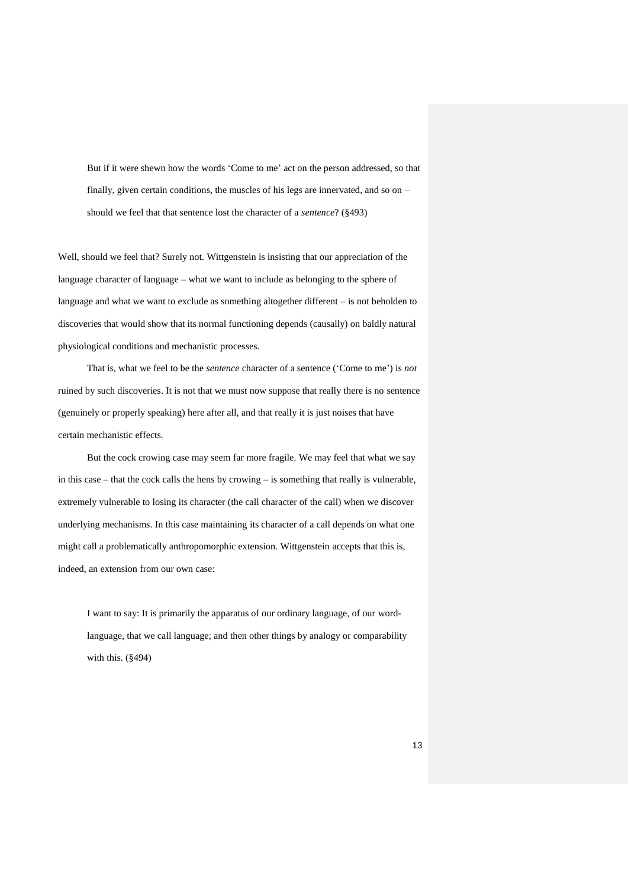But if it were shewn how the words 'Come to me' act on the person addressed, so that finally, given certain conditions, the muscles of his legs are innervated, and so on – should we feel that that sentence lost the character of a *sentence*? (§493)

Well, should we feel that? Surely not. Wittgenstein is insisting that our appreciation of the language character of language – what we want to include as belonging to the sphere of language and what we want to exclude as something altogether different – is not beholden to discoveries that would show that its normal functioning depends (causally) on baldly natural physiological conditions and mechanistic processes.

That is, what we feel to be the *sentence* character of a sentence ('Come to me') is *not* ruined by such discoveries. It is not that we must now suppose that really there is no sentence (genuinely or properly speaking) here after all, and that really it is just noises that have certain mechanistic effects.

But the cock crowing case may seem far more fragile. We may feel that what we say in this case – that the cock calls the hens by crowing – is something that really is vulnerable, extremely vulnerable to losing its character (the call character of the call) when we discover underlying mechanisms. In this case maintaining its character of a call depends on what one might call a problematically anthropomorphic extension. Wittgenstein accepts that this is, indeed, an extension from our own case:

I want to say: It is primarily the apparatus of our ordinary language, of our wordlanguage, that we call language; and then other things by analogy or comparability with this. (§494)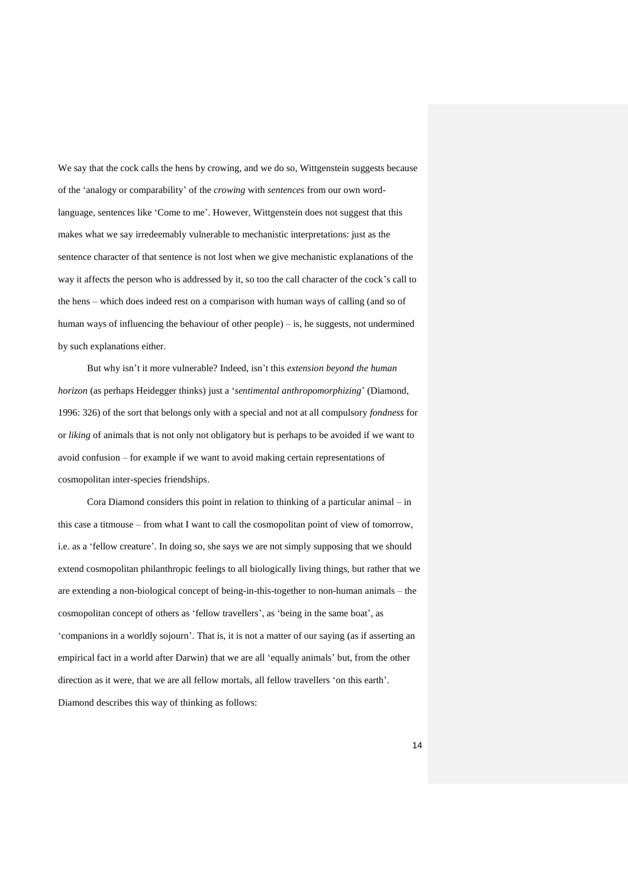We say that the cock calls the hens by crowing, and we do so, Wittgenstein suggests because of the 'analogy or comparability' of the *crowing* with *sentences* from our own wordlanguage, sentences like 'Come to me'. However, Wittgenstein does not suggest that this makes what we say irredeemably vulnerable to mechanistic interpretations: just as the sentence character of that sentence is not lost when we give mechanistic explanations of the way it affects the person who is addressed by it, so too the call character of the cock's call to the hens – which does indeed rest on a comparison with human ways of calling (and so of human ways of influencing the behaviour of other people) – is, he suggests, not undermined by such explanations either.

But why isn't it more vulnerable? Indeed, isn't this *extension beyond the human horizon* (as perhaps Heidegger thinks) just a '*sentimental anthropomorphizing*' (Diamond, 1996: 326) of the sort that belongs only with a special and not at all compulsory *fondness* for or *liking* of animals that is not only not obligatory but is perhaps to be avoided if we want to avoid confusion – for example if we want to avoid making certain representations of cosmopolitan inter-species friendships.

Cora Diamond considers this point in relation to thinking of a particular animal – in this case a titmouse – from what I want to call the cosmopolitan point of view of tomorrow, i.e. as a 'fellow creature'. In doing so, she says we are not simply supposing that we should extend cosmopolitan philanthropic feelings to all biologically living things, but rather that we are extending a non-biological concept of being-in-this-together to non-human animals – the cosmopolitan concept of others as 'fellow travellers', as 'being in the same boat', as 'companions in a worldly sojourn'. That is, it is not a matter of our saying (as if asserting an empirical fact in a world after Darwin) that we are all 'equally animals' but, from the other direction as it were, that we are all fellow mortals, all fellow travellers 'on this earth'. Diamond describes this way of thinking as follows:

14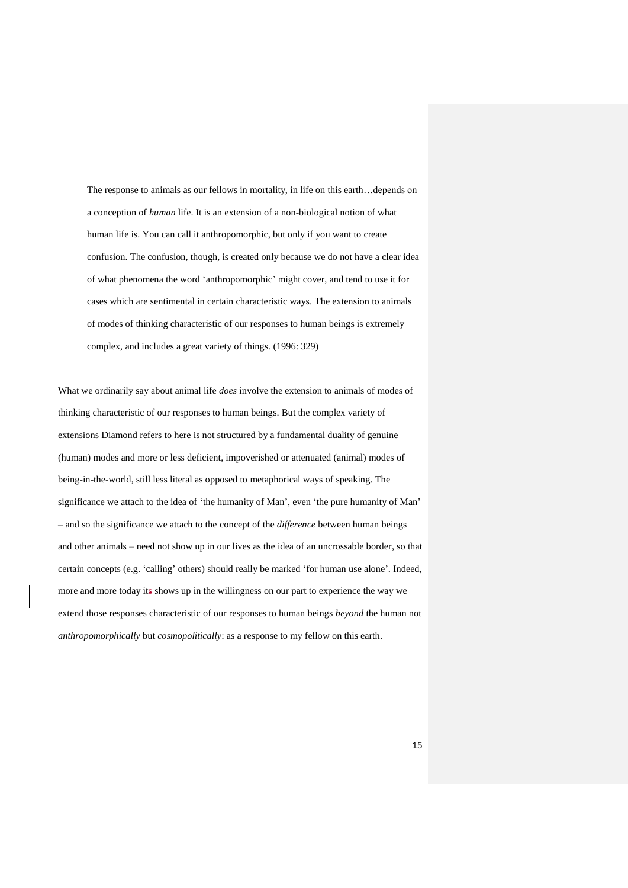The response to animals as our fellows in mortality, in life on this earth…depends on a conception of *human* life. It is an extension of a non-biological notion of what human life is. You can call it anthropomorphic, but only if you want to create confusion. The confusion, though, is created only because we do not have a clear idea of what phenomena the word 'anthropomorphic' might cover, and tend to use it for cases which are sentimental in certain characteristic ways. The extension to animals of modes of thinking characteristic of our responses to human beings is extremely complex, and includes a great variety of things. (1996: 329)

What we ordinarily say about animal life *does* involve the extension to animals of modes of thinking characteristic of our responses to human beings. But the complex variety of extensions Diamond refers to here is not structured by a fundamental duality of genuine (human) modes and more or less deficient, impoverished or attenuated (animal) modes of being-in-the-world, still less literal as opposed to metaphorical ways of speaking. The significance we attach to the idea of 'the humanity of Man', even 'the pure humanity of Man' – and so the significance we attach to the concept of the *difference* between human beings and other animals – need not show up in our lives as the idea of an uncrossable border, so that certain concepts (e.g. 'calling' others) should really be marked 'for human use alone'. Indeed, more and more today its shows up in the willingness on our part to experience the way we extend those responses characteristic of our responses to human beings *beyond* the human not *anthropomorphically* but *cosmopolitically*: as a response to my fellow on this earth.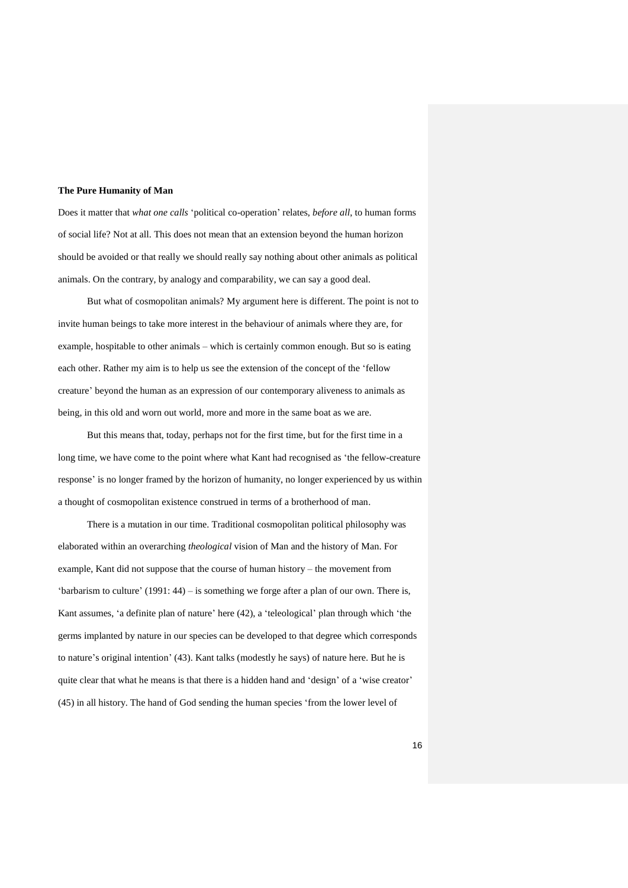#### **The Pure Humanity of Man**

Does it matter that *what one calls* 'political co-operation' relates, *before all*, to human forms of social life? Not at all. This does not mean that an extension beyond the human horizon should be avoided or that really we should really say nothing about other animals as political animals. On the contrary, by analogy and comparability, we can say a good deal.

But what of cosmopolitan animals? My argument here is different. The point is not to invite human beings to take more interest in the behaviour of animals where they are, for example, hospitable to other animals – which is certainly common enough. But so is eating each other. Rather my aim is to help us see the extension of the concept of the 'fellow creature' beyond the human as an expression of our contemporary aliveness to animals as being, in this old and worn out world, more and more in the same boat as we are.

But this means that, today, perhaps not for the first time, but for the first time in a long time, we have come to the point where what Kant had recognised as 'the fellow-creature response' is no longer framed by the horizon of humanity, no longer experienced by us within a thought of cosmopolitan existence construed in terms of a brotherhood of man.

There is a mutation in our time. Traditional cosmopolitan political philosophy was elaborated within an overarching *theological* vision of Man and the history of Man. For example, Kant did not suppose that the course of human history – the movement from 'barbarism to culture' (1991: 44) – is something we forge after a plan of our own. There is, Kant assumes, 'a definite plan of nature' here (42), a 'teleological' plan through which 'the germs implanted by nature in our species can be developed to that degree which corresponds to nature's original intention' (43). Kant talks (modestly he says) of nature here. But he is quite clear that what he means is that there is a hidden hand and 'design' of a 'wise creator' (45) in all history. The hand of God sending the human species 'from the lower level of

16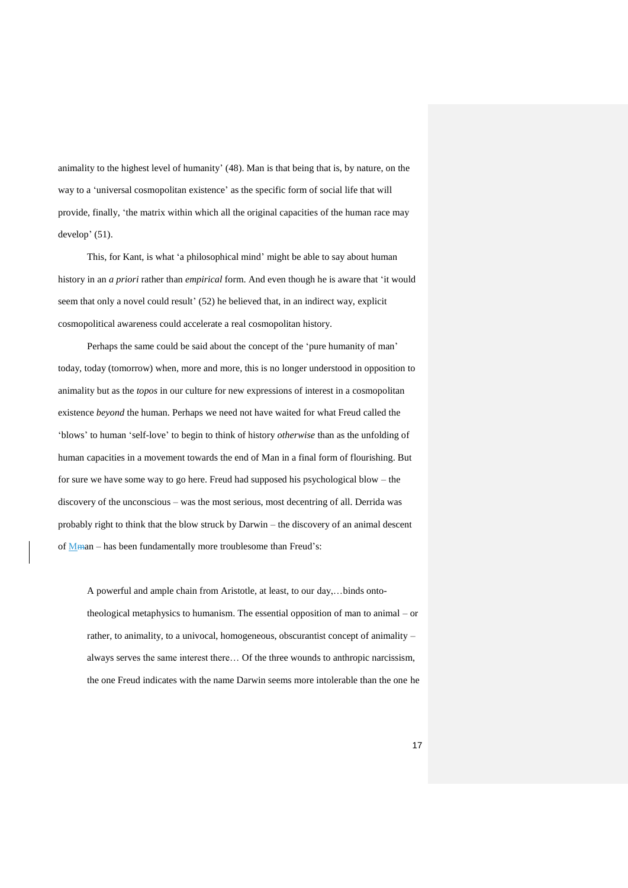animality to the highest level of humanity' (48). Man is that being that is, by nature, on the way to a 'universal cosmopolitan existence' as the specific form of social life that will provide, finally, 'the matrix within which all the original capacities of the human race may develop' (51).

This, for Kant, is what 'a philosophical mind' might be able to say about human history in an *a priori* rather than *empirical* form. And even though he is aware that 'it would seem that only a novel could result' (52) he believed that, in an indirect way, explicit cosmopolitical awareness could accelerate a real cosmopolitan history.

Perhaps the same could be said about the concept of the 'pure humanity of man' today, today (tomorrow) when, more and more, this is no longer understood in opposition to animality but as the *topos* in our culture for new expressions of interest in a cosmopolitan existence *beyond* the human. Perhaps we need not have waited for what Freud called the 'blows' to human 'self-love' to begin to think of history *otherwise* than as the unfolding of human capacities in a movement towards the end of Man in a final form of flourishing. But for sure we have some way to go here. Freud had supposed his psychological blow – the discovery of the unconscious – was the most serious, most decentring of all. Derrida was probably right to think that the blow struck by Darwin – the discovery of an animal descent of Mman – has been fundamentally more troublesome than Freud's:

A powerful and ample chain from Aristotle, at least, to our day,…binds ontotheological metaphysics to humanism. The essential opposition of man to animal – or rather, to animality, to a univocal, homogeneous, obscurantist concept of animality – always serves the same interest there… Of the three wounds to anthropic narcissism, the one Freud indicates with the name Darwin seems more intolerable than the one he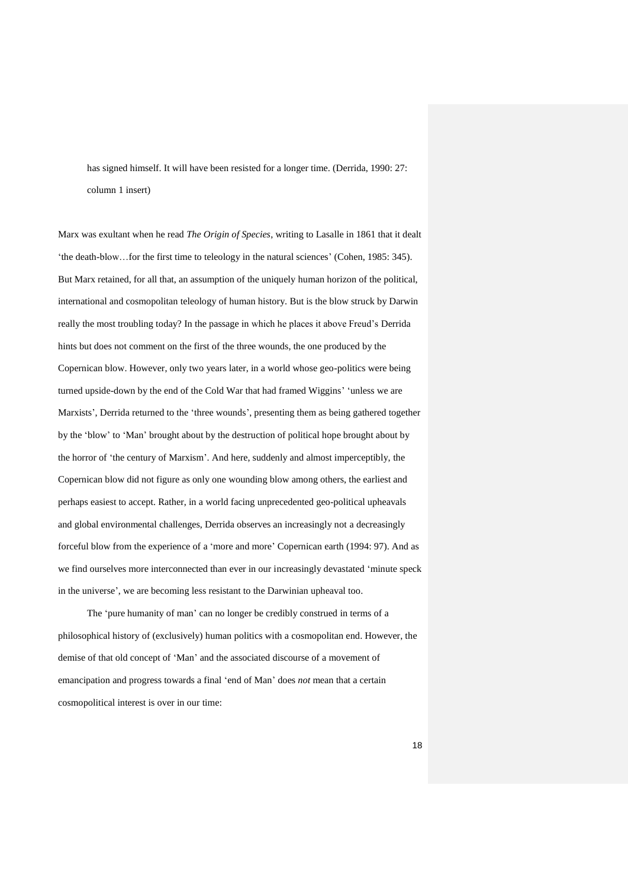has signed himself. It will have been resisted for a longer time. (Derrida, 1990: 27: column 1 insert)

Marx was exultant when he read *The Origin of Species*, writing to Lasalle in 1861 that it dealt 'the death-blow…for the first time to teleology in the natural sciences' (Cohen, 1985: 345). But Marx retained, for all that, an assumption of the uniquely human horizon of the political, international and cosmopolitan teleology of human history. But is the blow struck by Darwin really the most troubling today? In the passage in which he places it above Freud's Derrida hints but does not comment on the first of the three wounds, the one produced by the Copernican blow. However, only two years later, in a world whose geo-politics were being turned upside-down by the end of the Cold War that had framed Wiggins' 'unless we are Marxists', Derrida returned to the 'three wounds', presenting them as being gathered together by the 'blow' to 'Man' brought about by the destruction of political hope brought about by the horror of 'the century of Marxism'. And here, suddenly and almost imperceptibly, the Copernican blow did not figure as only one wounding blow among others, the earliest and perhaps easiest to accept. Rather, in a world facing unprecedented geo-political upheavals and global environmental challenges, Derrida observes an increasingly not a decreasingly forceful blow from the experience of a 'more and more' Copernican earth (1994: 97). And as we find ourselves more interconnected than ever in our increasingly devastated 'minute speck in the universe', we are becoming less resistant to the Darwinian upheaval too.

The 'pure humanity of man' can no longer be credibly construed in terms of a philosophical history of (exclusively) human politics with a cosmopolitan end. However, the demise of that old concept of 'Man' and the associated discourse of a movement of emancipation and progress towards a final 'end of Man' does *not* mean that a certain cosmopolitical interest is over in our time:

18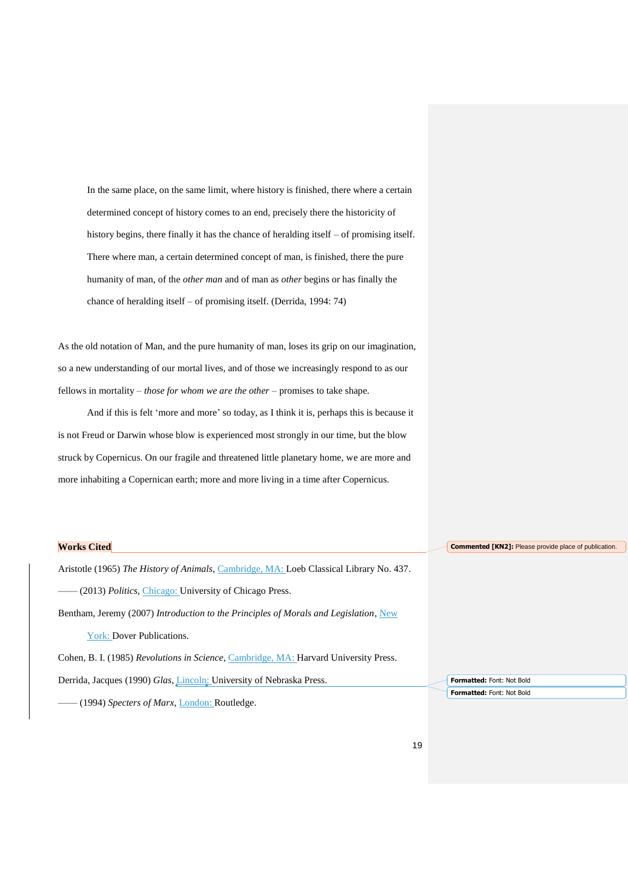In the same place, on the same limit, where history is finished, there where a certain determined concept of history comes to an end, precisely there the historicity of history begins, there finally it has the chance of heralding itself – of promising itself. There where man, a certain determined concept of man, is finished, there the pure humanity of man, of the *other man* and of man as *other* begins or has finally the chance of heralding itself – of promising itself. (Derrida, 1994: 74)

As the old notation of Man, and the pure humanity of man, loses its grip on our imagination, so a new understanding of our mortal lives, and of those we increasingly respond to as our fellows in mortality – *those for whom we are the other* – promises to take shape.

And if this is felt 'more and more' so today, as I think it is, perhaps this is because it is not Freud or Darwin whose blow is experienced most strongly in our time, but the blow struck by Copernicus. On our fragile and threatened little planetary home, we are more and more inhabiting a Copernican earth; more and more living in a time after Copernicus.

| <b>Works Cited</b>                                                                      | <b>Commented [KN2]:</b> Please provide place of publication. |
|-----------------------------------------------------------------------------------------|--------------------------------------------------------------|
| Aristotle (1965) The History of Animals, Cambridge, MA: Loeb Classical Library No. 437. |                                                              |
| (2013) <i>Politics</i> , Chicago: University of Chicago Press.                          |                                                              |
| Bentham, Jeremy (2007) Introduction to the Principles of Morals and Legislation, New    |                                                              |
| <b>York: Dover Publications.</b>                                                        |                                                              |
| Cohen, B. I. (1985) Revolutions in Science, Cambridge, MA: Harvard University Press.    |                                                              |
| Derrida, Jacques (1990) Glas, Lincoln: University of Nebraska Press.                    | Formatted: Font: Not Bold                                    |
| (1994) Specters of Marx, London: Routledge.                                             | <b>Formatted: Font: Not Bold</b>                             |